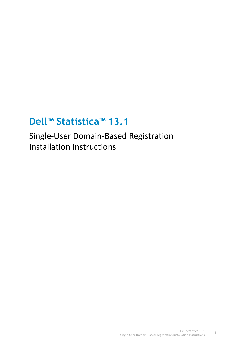# **Dell™ Statistica™ 13.1**

Single-User Domain-Based Registration Installation Instructions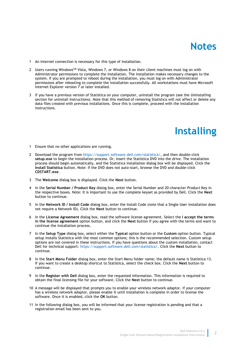### **Notes**

- 1 An Internet connection is necessary for this type of installation.
- 2 Users running Windows<sup>TM</sup> Vista, Windows 7, or Windows 8 on their client machines must log on with Administrator permissions to complete the installation. The installation makes necessary changes to the system. If you are prompted to reboot during the installation, you must log on with Administrator permissions after rebooting to complete the installation successfully. All workstations must have Microsoft Internet Explorer version 7 or later installed.
- 3 If you have a previous version of Statistica on your computer, uninstall the program (see the *Uninstalling* section for uninstall instructions). Note that this method of removing Statistica will not affect or delete any data files created with previous installations. Once this is complete, proceed with the installation instructions.

### **Installing**

- 1 Ensure that no other applications are running.
- 2 Download the program from [https://support.software.dell.com/statistica/,](https://support.software.dell.com/statistica/) and then double-click **setup.exe** to begin the installation process. Or, insert the Statistica DVD into the drive. The installation process should begin automatically, and the Statistica installation dialog box will be displayed. Click the **Install Statistica** button. Note: If the DVD does not auto-start, browse the DVD and double-click **CDSTART.exe**.
- 3 The **Welcome** dialog box is displayed. Click the **Next** button.
- 4 In the **Serial Number / Product Key** dialog box, enter the Serial Number and 20-character Product Key in the respective boxes. Note: It is important to use the complete keyset as provided by Dell. Click the **Next** button to continue.
- 5 In the **Network ID / Install Code** dialog box, enter the Install Code (note that a Single-User installation does not require a Network ID). Click the **Next** button to continue.
- 6 In the **License Agreement** dialog box, read the software license agreement. Select the **I accept the terms in the license agreement** option button, and click the **Next** button if you agree with the terms and want to continue the installation process.
- 7 In the **Setup Type** dialog box, select either the **Typical** option button or the **Custom** option button. Typical setup installs Statistica with the most common options; this is the recommended selection. Custom setup options are not covered in these instructions. If you have questions about the custom installation, contact Dell for technical support: [https://support.software.dell.com/statistica/.](https://support.software.dell.com/statistica/) Click the **Next** button to continue.
- 8 In the **Start Menu Folder** dialog box, enter the Start Menu folder name; the default name is Statistica 13. If you want to create a desktop shortcut to Statistica, select the check box. Click the **Next** button to continue.
- 9 In the **Register with Dell** dialog box, enter the requested information. This information is required to obtain the final licensing file for your software. Click the **Next** button to continue.
- 10 A message will be displayed that prompts you to enable your wireless network adaptor. If your computer has a wireless network adaptor, please enable it until installation is complete in order to license the software. Once it is enabled, click the **OK** button.
- 11 In the following dialog box, you will be informed that your license registration is pending and that a registration email has been sent to you.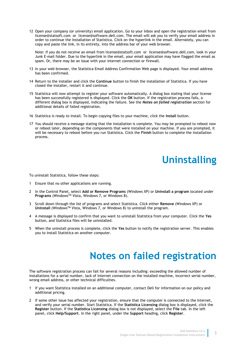12 Open your company (or university) email application. Go to your Inbox and open the registration email from license@statsoft.com or license@software.dell.com. The email will ask you to verify your email address in order to continue the installation of Statistica. Click on the hyperlink in the email. Alternately, you can copy and paste the link, in its entirety, into the address bar of your web browser.

Note: If you do not receive an email from license@statsoft.com or license@software.dell.com, look in your Junk E-mail folder. Due to the hyperlink in the email, your email application may have flagged the email as spam. Or, there may be an issue with your internet connection or firewall.

- 13 In your web browser, the Statistica Email Address Confirmation Web page is displayed. Your email address has been confirmed.
- 14 Return to the installer and click the **Continue** button to finish the installation of Statistica. If you have closed the installer, restart it and continue.
- 15 Statistica will now attempt to register your software automatically. A dialog box stating that your license has been successfully registered is displayed. Click the **OK** button. If the registration process fails, a different dialog box is displayed, indicating the failure. See the *Notes on failed registration* section for additional details of failed registration.
- 16 Statistica is ready to install. To begin copying files to your machine, click the **Install** button.
- 17 You should receive a message stating that the installation is complete. You may be prompted to reboot now or reboot later, depending on the components that were installed on your machine. If you are prompted, it will be necessary to reboot before you run Statistica. Click the **Finish** button to complete the installation process.

# **Uninstalling**

To uninstall Statistica, follow these steps:

- 1 Ensure that no other applications are running.
- 2 In the Control Panel, select **Add or Remove Programs** (Windows XP) or **Uninstall a program** located under **Programs** (WindowsTM Vista, Windows 7, or Windows 8).
- 3 Scroll down through the list of programs and select Statistica. Click either **Remove** (Windows XP) or **Uninstall** (WindowsTM Vista, Windows 7, or Windows 8) to uninstall the program.
- 4 A message is displayed to confirm that you want to uninstall Statistica from your computer. Click the **Yes**  button, and Statistica files will be uninstalled.
- 5 When the uninstall process is complete, click the **Yes** button to notify the registration server. This enables you to install Statistica on another computer.

# **Notes on failed registration**

The software registration process can fail for several reasons including: exceeding the allowed number of installations for a serial number, lack of Internet connection on the installed machine, incorrect serial number, wrong email address, or other technical difficulties.

- 1 If you want Statistica installed on an additional computer, contact Dell for information on our policy and additional pricing.
- 2 If some other issue has affected your registration, ensure that the computer is connected to the Internet, and verify your serial number. Start Statistica. If the **Statistica Licensing** dialog box is displayed, click the **Register** button. If the **Statistica Licensing** dialog box is not displayed, select the **File** tab. In the left panel, click **Help/Support**. In the right panel, under the **Support** heading, click **Register**.